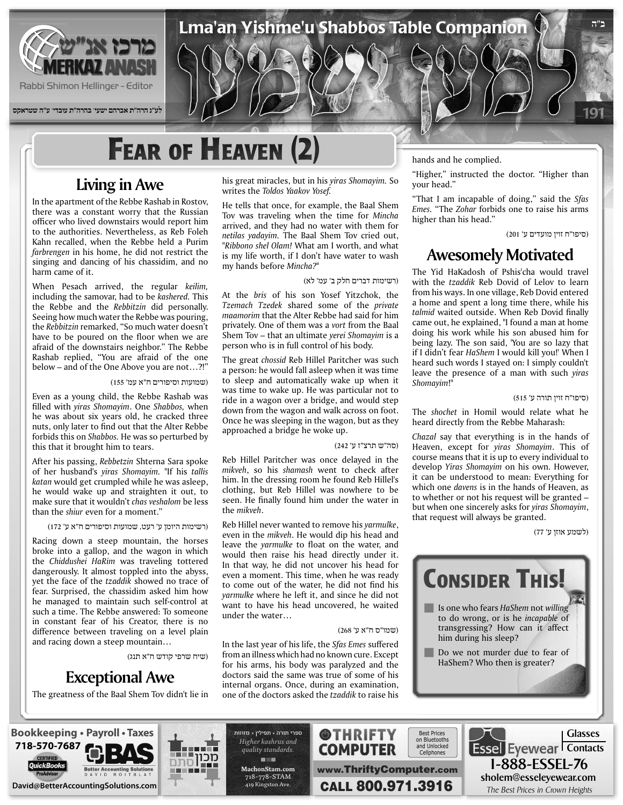

**לע"נ הרה"ת אברהם ישעי' בהרה"ת עובדי' ע"ה שטראקס**

# **FEAR OF HEAVEN (2)**

### **Living in Awe**

In the apartment of the Rebbe Rashab in Rostov, there was a constant worry that the Russian officer who lived downstairs would report him to the authorities. Nevertheless, as Reb Foleh Kahn recalled, when the Rebbe held a Purim farbrengen in his home, he did not restrict the singing and dancing of his chassidim, and no harm came of it.

When Pesach arrived, the regular keilim, including the samovar, had to be kashered. This the Rebbe and the Rebbitzin did personally. Seeing how much water the Rebbe was pouring, the Rebbitzin remarked, "So much water doesn't have to be poured on the floor when we are afraid of the downstairs neighbor." The Rebbe Rashab replied, "You are afraid of the one below - and of the One Above you are not...?!"

#### (שמועות וסיפורים ח"א עמ' 155)

Even as a young child, the Rebbe Rashab was filled with *yiras Shomayim*. One Shabbos, when he was about six years old, he cracked three nuts, only later to find out that the Alter Rebbe forbids this on *Shabbos*. He was so perturbed by this that it brought him to tears.

After his passing, *Rebbetzin* Shterna Sara spoke *of her husband's yiras Shomayim.* "If his tallis katan would get crumpled while he was asleep, he would wake up and straighten it out, to make sure that it wouldn't *chas* veshalom be less than the *shiur* even for a moment."

#### (רשימות היומן ע' רעט, שמועות וסיפורים ח"א ע' 172)

Racing down a steep mountain, the horses broke into a gallop, and the wagon in which the *Chiddushei HaRim* was *traveling* tottered dangerously. It almost toppled into the abyss, yet the face of the tzaddik showed no trace of fear. Surprised, the chassidim asked him how he managed to maintain such self-control at such a time. The Rebbe answered: To someone in constant fear of his Creator, there is no difference between traveling on a level plain and racing down a steep mountain...

(שיח שרפי קודש ח"א תנג)

### **Exceptional Awe**

The greatness of the Baal Shem Tov didn't lie in

his great miracles, but in his *yiras Shomayim*. So writes the Toldos Yaakov Yosef.

He tells that once, for example, the Baal Shem Tov was traveling when the time for Mincha arrived, and they had no water with them for netilas yadayim. The Baal Shem Tov cried out, "Ribbono shel Olam! What am I worth, and what is my life worth, if I don't have water to wash my hands before Mincha?"

#### (רשימות דברים חלק ב' עמ' לא)

Lma'an Yishme'u Shabbos Table Companion

At the bris of his son Yosef Yitzchok, the *Tzemach Tzedek* shared some of the *private* maamorim that the Alter Rebbe had said for him privately. One of them was a vort from the Baal Shem Tov – that an ultimate *yerei Shomayim* is a person who is in full control of his body.

The great *chossid* Reb Hillel Paritcher was such a person: he would fall asleep when it was time to sleep and automatically wake up when it was time to wake up. He was particular not to ride in a wagon over a bridge, and would step down from the wagon and walk across on foot. Once he was sleeping in the wagon, but as they approached a bridge he woke up.

#### (סה"ש תרצ"ז ע' 242)

Reb Hillel Paritcher was once delayed in the mikveh, so his shamash went to check after him. In the dressing room he found Reb Hillel's clothing, but Reb Hillel was nowhere to be seen. He finally found him under the water in the mikveh.

Reb Hillel never wanted to remove his yarmulke, even in the *mikveh*. He would dip his head and leave the *varmulke* to float on the water, and would then raise his head directly under it. In that way, he did not uncover his head for even a moment. This time, when he was ready to come out of the water, he did not find his yarmulke where he left it, and since he did not want to have his head uncovered, he waited under the water...

#### (שמו"ס ח"א ע' 268)

In the last year of his life, the Sfas Emes suffered from an illness which had no known cure. Except for his arms, his body was paralyzed and the doctors said the same was true of some of his internal organs. Once, during an examination, one of the doctors asked the *tzaddik* to raise his hands and he complied.

"Higher," instructed the doctor. "Higher than your head."

"That I am incapable of doing," said the Sfas Emes. "The Zohar forbids one to raise his arms higher than his head."

(סיפו"ח זוין מועדים ע' 201)

191

**ב"ה**

### **Motivated Awesomely**

The Yid HaKadosh of Pshis'cha would travel with the *tzaddik* Reb Dovid of Lelov to learn from his ways. In one village, Reb Dovid entered a home and spent a long time there, while his talmid waited outside. When Reb Dovid finally came out, he explained, "I found a man at home doing his work while his son abused him for being lazy. The son said, 'You are so lazy that if I didn't fear HaShem I would kill you!' When I heard such words I stayed on: I simply couldn't leave the presence of a man with such *yiras* "!*Shomayim*

#### (סיפו"ח זוין תורה ע' 515)

The shochet in Homil would relate what he heard directly from the Rebbe Maharash:

Chazal say that everything is in the hands of Heaven, except for yiras Shomayim. This of course means that it is up to every individual to develop Yiras Shomayim on his own. However, it can be understood to mean: Everything for which one *davens* is in the hands of Heaven, as to whether or not his request will be granted  $$ but when one sincerely asks for *viras Shomayim*, that request will always be granted.

(לשמע אוזן ע' 77)